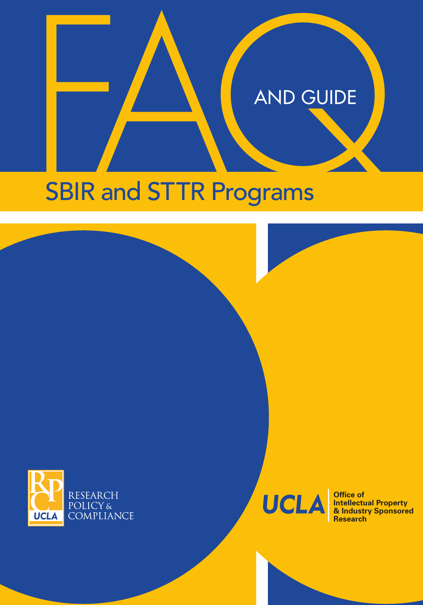# SBIR and STTR Programs SBIR and STTR Programs





**Office of Intellectual Property & Industry Sponsored Research**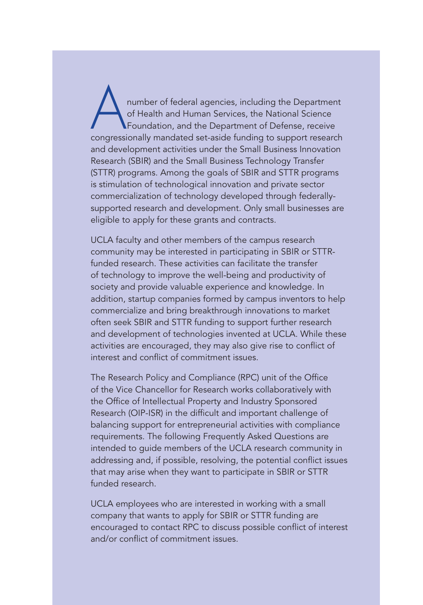Anumber of federal agencies, including the Department<br>of Health and Human Services, the National Science<br>congressionally mandated set-aside funding to support research of Health and Human Services, the National Science Foundation, and the Department of Defense, receive congressionally mandated set-aside funding to support research and development activities under the Small Business Innovation Research (SBIR) and the Small Business Technology Transfer (STTR) programs. Among the goals of SBIR and STTR programs is stimulation of technological innovation and private sector commercialization of technology developed through federallysupported research and development. Only small businesses are eligible to apply for these grants and contracts.

UCLA faculty and other members of the campus research community may be interested in participating in SBIR or STTRfunded research. These activities can facilitate the transfer of technology to improve the well-being and productivity of society and provide valuable experience and knowledge. In addition, startup companies formed by campus inventors to help commercialize and bring breakthrough innovations to market often seek SBIR and STTR funding to support further research and development of technologies invented at UCLA. While these activities are encouraged, they may also give rise to conflict of interest and conflict of commitment issues.

The Research Policy and Compliance (RPC) unit of the Office of the Vice Chancellor for Research works collaboratively with the Office of Intellectual Property and Industry Sponsored Research (OIP-ISR) in the difficult and important challenge of balancing support for entrepreneurial activities with compliance requirements. The following Frequently Asked Questions are intended to guide members of the UCLA research community in addressing and, if possible, resolving, the potential conflict issues that may arise when they want to participate in SBIR or STTR funded research.

UCLA employees who are interested in working with a small company that wants to apply for SBIR or STTR funding are encouraged to contact RPC to discuss possible conflict of interest and/or conflict of commitment issues.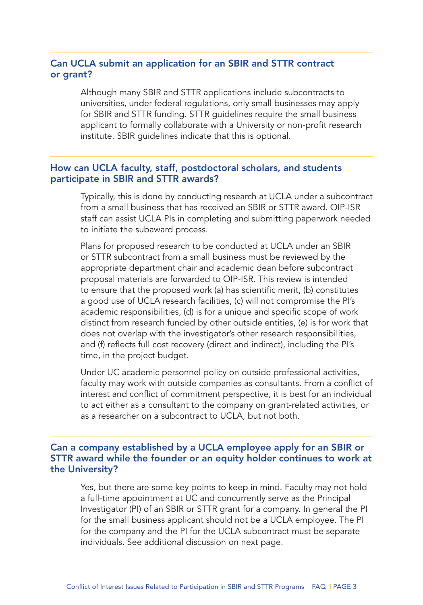## Can UCLA submit an application for an SBIR and STTR contract or grant?

Although many SBIR and STTR applications include subcontracts to universities, under federal regulations, only small businesses may apply for SBIR and STTR funding. STTR guidelines require the small business applicant to formally collaborate with a University or non-profit research institute. SBIR guidelines indicate that this is optional.

### How can UCLA faculty, staff, postdoctoral scholars, and students participate in SBIR and STTR awards?

Typically, this is done by conducting research at UCLA under a subcontract from a small business that has received an SBIR or STTR award. OIP-ISR staff can assist UCLA PIs in completing and submitting paperwork needed to initiate the subaward process.

Plans for proposed research to be conducted at UCLA under an SBIR or STTR subcontract from a small business must be reviewed by the appropriate department chair and academic dean before subcontract proposal materials are forwarded to OIP-ISR. This review is intended to ensure that the proposed work (a) has scientific merit, (b) constitutes a good use of UCLA research facilities, (c) will not compromise the PI's academic responsibilities, (d) is for a unique and specific scope of work distinct from research funded by other outside entities, (e) is for work that does not overlap with the investigator's other research responsibilities, and (f) reflects full cost recovery (direct and indirect), including the PI's time, in the project budget.

Under UC academic personnel policy on outside professional activities, faculty may work with outside companies as consultants. From a conflict of interest and conflict of commitment perspective, it is best for an individual to act either as a consultant to the company on grant-related activities, or as a researcher on a subcontract to UCLA, but not both.

### Can a company established by a UCLA employee apply for an SBIR or STTR award while the founder or an equity holder continues to work at the University?

Yes, but there are some key points to keep in mind. Faculty may not hold a full-time appointment at UC and concurrently serve as the Principal Investigator (PI) of an SBIR or STTR grant for a company. In general the PI for the small business applicant should not be a UCLA employee. The PI for the company and the PI for the UCLA subcontract must be separate individuals. See additional discussion on next page.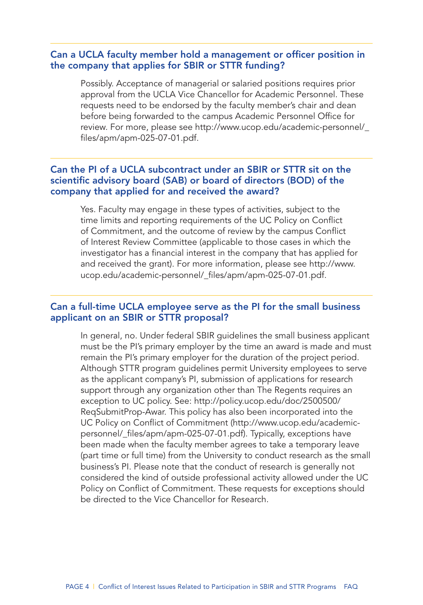### Can a UCLA faculty member hold a management or officer position in the company that applies for SBIR or STTR funding?

Possibly. Acceptance of managerial or salaried positions requires prior approval from the UCLA Vice Chancellor for Academic Personnel. These requests need to be endorsed by the faculty member's chair and dean before being forwarded to the campus Academic Personnel Office for [review. For more, please see http://www.ucop.edu/academic-personnel/\\_](http://www.ucop.edu/academic-personnel/_files/apm/apm-025-07-01.pdf) files/apm/apm-025-07-01.pdf.

# Can the PI of a UCLA subcontract under an SBIR or STTR sit on the scientific advisory board (SAB) or board of directors (BOD) of the company that applied for and received the award?

Yes. Faculty may engage in these types of activities, subject to the time limits and reporting requirements of the UC Policy on Conflict of Commitment, and the outcome of review by the campus Conflict of Interest Review Committee (applicable to those cases in which the investigator has a financial interest in the company that has applied for [and received the grant\). For more information, please see http://www.](http://www.ucop.edu/academic-personnel/_files/apm/apm-025-07-01.pdf) ucop.edu/academic-personnel/\_files/apm/apm-025-07-01.pdf.

### Can a full-time UCLA employee serve as the PI for the small business applicant on an SBIR or STTR proposal?

In general, no. Under federal SBIR guidelines the small business applicant must be the PI's primary employer by the time an award is made and must remain the PI's primary employer for the duration of the project period. Although STTR program guidelines permit University employees to serve as the applicant company's PI, submission of applications for research support through any organization other than The Regents requires an [exception to UC policy. See: http://policy.ucop.edu/doc/2500500/](http://policy.ucop.edu/doc/2500500/ReqSubmitProp-Awar) ReqSubmitProp-Awar. This policy has also been incorporated into the UC Policy on Conflict of Commitment (http://www.ucop.edu/academic[personnel/\\_files/apm/apm-025-07-01.pdf\). Typically, exceptions have](http://www.ucop.edu/academic-personnel/_files/apm/apm-025-07-01.pdf)  been made when the faculty member agrees to take a temporary leave (part time or full time) from the University to conduct research as the small business's PI. Please note that the conduct of research is generally not considered the kind of outside professional activity allowed under the UC Policy on Conflict of Commitment. These requests for exceptions should be directed to the Vice Chancellor for Research.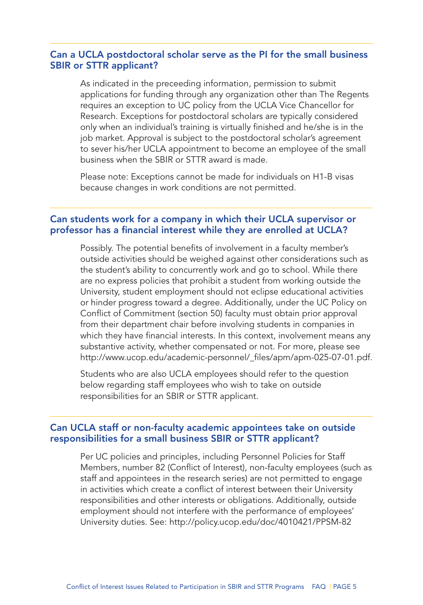### Can a UCLA postdoctoral scholar serve as the PI for the small business SBIR or STTR applicant?

As indicated in the preceeding information, permission to submit applications for funding through any organization other than The Regents requires an exception to UC policy from the UCLA Vice Chancellor for Research. Exceptions for postdoctoral scholars are typically considered only when an individual's training is virtually finished and he/she is in the job market. Approval is subject to the postdoctoral scholar's agreement to sever his/her UCLA appointment to become an employee of the small business when the SBIR or STTR award is made.

Please note: Exceptions cannot be made for individuals on H1-B visas because changes in work conditions are not permitted.

### Can students work for a company in which their UCLA supervisor or professor has a financial interest while they are enrolled at UCLA?

Possibly. The potential benefits of involvement in a faculty member's outside activities should be weighed against other considerations such as the student's ability to concurrently work and go to school. While there are no express policies that prohibit a student from working outside the University, student employment should not eclipse educational activities or hinder progress toward a degree. Additionally, under the UC Policy on Conflict of Commitment (section 50) faculty must obtain prior approval from their department chair before involving students in companies in which they have financial interests. In this context, involvement means any substantive activity, whether compensated or not. For more, please see [http://www.ucop.edu/academic-personnel/\\_files/apm/apm-025-07-01.pdf.](http://www.ucop.edu/academic-personnel/_files/apm/apm-025-07-01.pdf)

Students who are also UCLA employees should refer to the question below regarding staff employees who wish to take on outside responsibilities for an SBIR or STTR applicant.

### Can UCLA staff or non-faculty academic appointees take on outside responsibilities for a small business SBIR or STTR applicant?

Per UC policies and principles, including Personnel Policies for Staff Members, number 82 (Conflict of Interest), non-faculty employees (such as staff and appointees in the research series) are not permitted to engage in activities which create a conflict of interest between their University responsibilities and other interests or obligations. Additionally, outside employment should not interfere with the performance of employees' University duties. [See: http://policy.ucop.edu/doc/4010421/PPSM-82](http://policy.ucop.edu/doc/4010421/PPSM-82)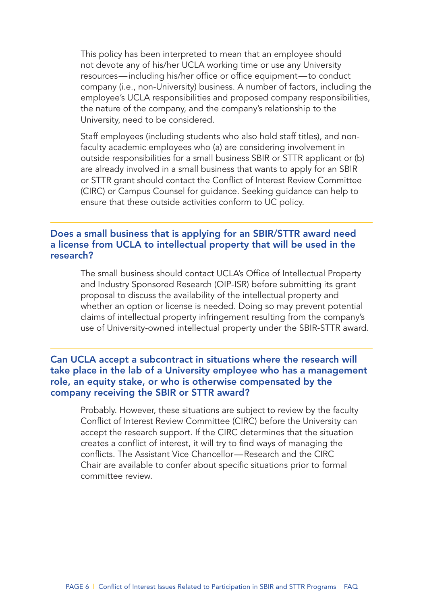This policy has been interpreted to mean that an employee should not devote any of his/her UCLA working time or use any University resources—including his/her office or office equipment—to conduct company (i.e., non-University) business. A number of factors, including the employee's UCLA responsibilities and proposed company responsibilities, the nature of the company, and the company's relationship to the University, need to be considered.

Staff employees (including students who also hold staff titles), and nonfaculty academic employees who (a) are considering involvement in outside responsibilities for a small business SBIR or STTR applicant or (b) are already involved in a small business that wants to apply for an SBIR or STTR grant should contact the Conflict of Interest Review Committee (CIRC) or Campus Counsel for guidance. Seeking guidance can help to ensure that these outside activities conform to UC policy.

### Does a small business that is applying for an SBIR/STTR award need a license from UCLA to intellectual property that will be used in the research?

The small business should contact UCLA's Office of Intellectual Property and Industry Sponsored Research (OIP-ISR) before submitting its grant proposal to discuss the availability of the intellectual property and whether an option or license is needed. Doing so may prevent potential claims of intellectual property infringement resulting from the company's use of University-owned intellectual property under the SBIR-STTR award.

### Can UCLA accept a subcontract in situations where the research will take place in the lab of a University employee who has a management role, an equity stake, or who is otherwise compensated by the company receiving the SBIR or STTR award?

Probably. However, these situations are subject to review by the faculty Conflict of Interest Review Committee (CIRC) before the University can accept the research support. If the CIRC determines that the situation creates a conflict of interest, it will try to find ways of managing the conflicts. The Assistant Vice Chancellor—Research and the CIRC Chair are available to confer about specific situations prior to formal committee review.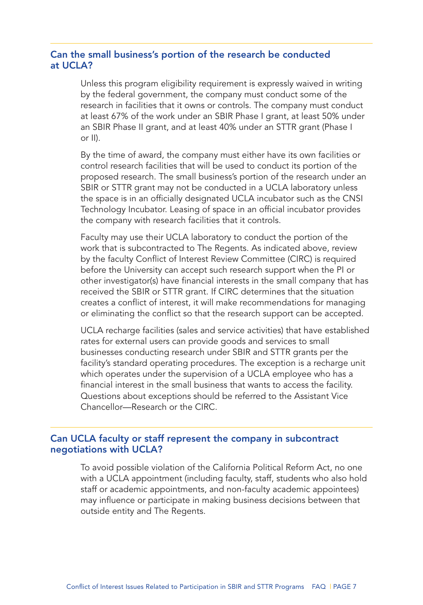## Can the small business's portion of the research be conducted at UCLA?

Unless this program eligibility requirement is expressly waived in writing by the federal government, the company must conduct some of the research in facilities that it owns or controls. The company must conduct at least 67% of the work under an SBIR Phase I grant, at least 50% under an SBIR Phase II grant, and at least 40% under an STTR grant (Phase I or II).

By the time of award, the company must either have its own facilities or control research facilities that will be used to conduct its portion of the proposed research. The small business's portion of the research under an SBIR or STTR grant may not be conducted in a UCLA laboratory unless the space is in an officially designated UCLA incubator such as the CNSI Technology Incubator. Leasing of space in an official incubator provides the company with research facilities that it controls.

Faculty may use their UCLA laboratory to conduct the portion of the work that is subcontracted to The Regents. As indicated above, review by the faculty Conflict of Interest Review Committee (CIRC) is required before the University can accept such research support when the PI or other investigator(s) have financial interests in the small company that has received the SBIR or STTR grant. If CIRC determines that the situation creates a conflict of interest, it will make recommendations for managing or eliminating the conflict so that the research support can be accepted.

UCLA recharge facilities (sales and service activities) that have established rates for external users can provide goods and services to small businesses conducting research under SBIR and STTR grants per the facility's standard operating procedures. The exception is a recharge unit which operates under the supervision of a UCLA employee who has a financial interest in the small business that wants to access the facility. Questions about exceptions should be referred to the Assistant Vice Chancellor—Research or the CIRC.

### Can UCLA faculty or staff represent the company in subcontract negotiations with UCLA?

To avoid possible violation of the California Political Reform Act, no one with a UCLA appointment (including faculty, staff, students who also hold staff or academic appointments, and non-faculty academic appointees) may influence or participate in making business decisions between that outside entity and The Regents.